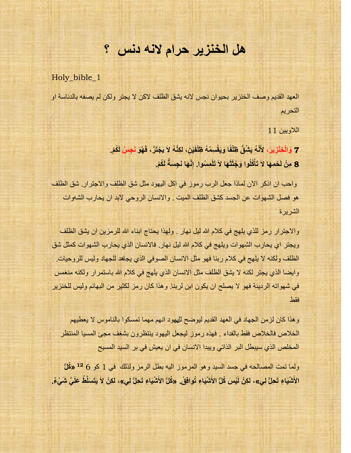# **هل الخنزير حرام النه دنس ؟**

Holy\_bible\_1

العهد القديم وصف الخنزير بحيوان نجس لانه يشق الظلف لاكن لا يجتر ولكن لم يصفه بالدناسة او التحريم

اللاويين 11

7 وَالْخِنْزِيرَ، لأَنَّهُ يَتْنُقُّ ظِلْفًا وَيَقْسِمُهُ ظِلْفَيْنِ، لكِنَّهُ لاَ يَجْتَرُّ، فَهُوَ نَجِسٌ لَكُمْ. **َ ً** 8 مِنْ لَحْمِهَا لاَ تَأْكُلُوا وَجُثَثَهَا لاَ تَلْمِسُوا. إِنَّهَا نَجِسَةً لَكُمْ. **ِ ْ**

واحب ان اذكر الان لماذا جعل الرب رموز في اكل اليهود مثل شق الظلف والاجترار. شق الظلف هو فصل الشهوات عن الجسد كشق الظلف الميت . والانسان الروحي لابد ان يحارب الشهوات الشر بر ة

والاجترار رمز للذي يلهج في كلام الله ليل نهار . ولهذا يحتاج ابناء الله للرمزين ان يشق الظلف ويجتر اي يحارب الشهوات ويلهج في كلام الله ليل نهار. فالانسان الذي يحارب الشهوات كمثل شق الظلف ولكنه لا يلهج في كلام ربنا فهو مثل الانسان الصوفي الذي يجاهد للجهاد وليس للروحيات. وايضا الذي يجتر لكنه لا يشق الظلف مثل الانسان الذي يلهج في كلام الله باستمرار ولكنه منغمس في شهواته الرديئة فهو لا يصلح ان يكون ابن لربنا. وهذا كان ر مز لكثير ٍ من البهائم وليس للخنز ير فقط

وهذا كان لزمن الجهاد في العهد القديم ليوضح للههود انهم مهما تمسكوا بالناموس لا يعطيهم الخلاص فالخلاص فقط بالفداء . فهذه ر موز ليجعل اليهود ينتظرون بشغف مجئ المسيا المنتظر المخلص الذي سيبطل البر الذاتي ويبدا الانسان في ان يعيش في بر السيد المسيح

ولما تمت المصـالحـه في جسد السيد و هو المرموز اليه بطل الرمز ولذلك في 1 كو 6 <sup>12</sup> «كُلُّ الأَشْيَاءِ تَحِلُّ لِي»، لكِنْ لَيْسَ كُلُّ الأَشْيَاءِ تُوافِقُ. «كُلُّ الأَشْيَاءِ تَحِلُّ لِي»، لكِنْ لاَ يَتَسَلَّطُ عَلَيَّ شَيْءٌ.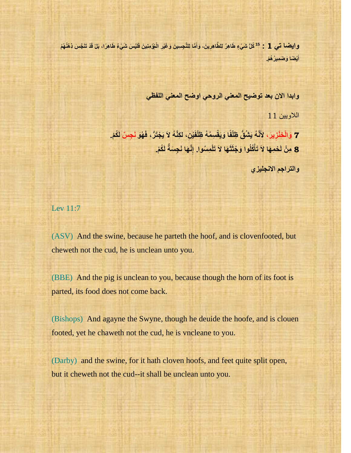وا**يضا تي 1 : <sup>15</sup> كُلُّ شَيْءٍ طَاهِرٌ لِلطَّاهِرِينَ، وَأَمَّا لِلنَّجِسِينَ وَغَيْرِ الْمُؤْمِنِينَ فَلَيْسَ شَيْءٌ طَاهِرًا، بَلْ قَدْ تَنَجَّسَ ذِهْنُهُمْ ِ َ ِ أَيْضًا وَضَمِيرُ هُمْ. َ**

**وابدا االن بعد توضيح المعني الروحي اوضح المعني اللفظي** 

اللاويين 11

7 وَالْخِنْزِيرَ، لأَنَّهُ يَتْنُقُّ ظِلْفًا وَيَقْسِمُهُ ظِلْفَيْنِ، لكِنَّهُ لاَ يَجْتَرُّ، فَهُوَ نَجِسٌ لَكُمْ. **َ ً** 8 مِنْ لَحْمِهَا لاَ تَأْكُلُوا وَجُثَثَهَا لاَ تَلْمِسُوا. إِنَّهَا نَجِسَةً لَكُمْ. **ِ ْ**

**ّالتزاجن االًجل٘شٕ** 

Lev 11:7

(ASV) And the swine, because he parteth the hoof, and is clovenfooted, but cheweth not the cud, he is unclean unto you.

(BBE) And the pig is unclean to you, because though the horn of its foot is parted, its food does not come back.

(Bishops) And agayne the Swyne, though he deuide the hoofe, and is clouen footed, yet he chaweth not the cud, he is vncleane to you.

(Darby) and the swine, for it hath cloven hoofs, and feet quite split open, but it cheweth not the cud--it shall be unclean unto you.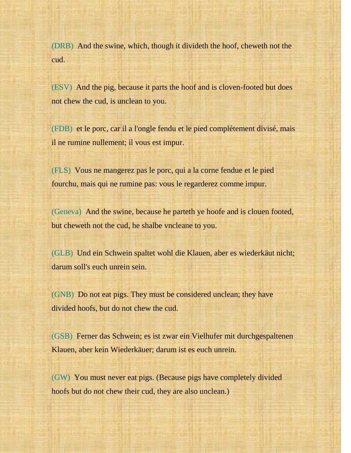(DRB) And the swine, which, though it divideth the hoof, cheweth not the cud.

(ESV) And the pig, because it parts the hoof and is cloven-footed but does not chew the cud, is unclean to you.

(FDB) et le porc, car il a l'ongle fendu et le pied complètement divisé, mais il ne rumine nullement; il vous est impur.

(FLS) Vous ne mangerez pas le porc, qui a la corne fendue et le pied fourchu, mais qui ne rumine pas: vous le regarderez comme impur.

(Geneva) And the swine, because he parteth ye hoofe and is clouen footed, but cheweth not the cud, he shalbe vncleane to you.

(GLB) Und ein Schwein spaltet wohl die Klauen, aber es wiederkäut nicht; darum soll's euch unrein sein.

(GNB) Do not eat pigs. They must be considered unclean; they have divided hoofs, but do not chew the cud.

(GSB) Ferner das Schwein; es ist zwar ein Vielhufer mit durchgespaltenen Klauen, aber kein Wiederkäuer; darum ist es euch unrein.

(GW) You must never eat pigs. (Because pigs have completely divided hoofs but do not chew their cud, they are also unclean.)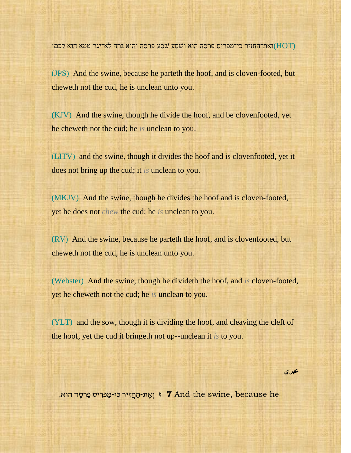(HOT(ואת־החזיר כי־מפריס פרסה הוא וׁשסע ׁשסע פרסה והוא גרה לא־יגר טמא הוא לכם׃

(JPS) And the swine, because he parteth the hoof, and is cloven-footed, but cheweth not the cud, he is unclean unto you.

(KJV) And the swine, though he divide the hoof, and be clovenfooted, yet he cheweth not the cud; he *is* unclean to you.

(LITV) and the swine, though it divides the hoof and is clovenfooted, yet it does not bring up the cud; it *is* unclean to you.

(MKJV) And the swine, though he divides the hoof and is cloven-footed, yet he does not *chew* the cud; he *is* unclean to you.

(RV) And the swine, because he parteth the hoof, and is clovenfooted, but cheweth not the cud, he is unclean unto you.

(Webster) And the swine, though he divideth the hoof, and *is* cloven-footed, yet he cheweth not the cud; he *is* unclean to you.

(YLT) and the sow, though it is dividing the hoof, and cleaving the cleft of the hoof, yet the cud it bringeth not up--unclean it *is* to you.

 **بري**

י גְאֶת-הַחֲזִיר כִּי-מַפְרִיס פַּרְסָה הוּא, **7** and the swine, because he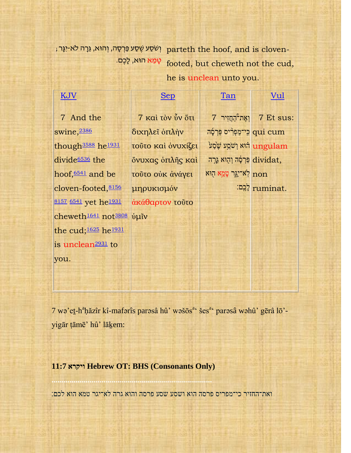, וְשֹׁסַע פֵּרְסָה, וְהוּא, גֵּרָה לֹא-יִגָּר parteth the hoof, and is cloven-טָ מֵּ א הּוא, לָכֶם. footed, but cheweth not the cud,

## he is unclean unto you.

[Tan](http://www.sacred-texts.com/bib/tan/lev011.htm)

## [KJV](http://www.sacred-texts.com/bib/kjv/lev011.htm)

## [Sep](http://www.sacred-texts.com/bib/sep/lev011.htm)

## [Vul](http://www.sacred-texts.com/bib/vul/lev011.htm)

7 And the swine, [2386](http://www.sacred-texts.com/bib/poly/h2386.htm) though<sup>[3588](http://www.sacred-texts.com/bib/poly/h3588.htm)</sup> he<sup>[1931](http://www.sacred-texts.com/bib/poly/h1931.htm)</sup> divide[6536](http://www.sacred-texts.com/bib/poly/h6536.htm) the hoof,  $6541$  and be cloven-footed,[8156](http://www.sacred-texts.com/bib/poly/h8156.htm) [8157](http://www.sacred-texts.com/bib/poly/h8157.htm) [6541](http://www.sacred-texts.com/bib/poly/h6541.htm) yet he<sup>[1931](http://www.sacred-texts.com/bib/poly/h1931.htm)</sup> cheweth<sup>[1641](http://www.sacred-texts.com/bib/poly/h1641.htm)</sup> not<sup>[3808](http://www.sacred-texts.com/bib/poly/h3808.htm)</sup> ὑμῖν the cud;<sup>[1625](http://www.sacred-texts.com/bib/poly/h1625.htm)</sup> he<sup>[1931](http://www.sacred-texts.com/bib/poly/h1931.htm)</sup> is unclean[2931](http://www.sacred-texts.com/bib/poly/h2931.htm) to you.

7 καὶ τὸν ὗν ὅτι διχηλεῖ ὁπλὴν τοῦτο καὶ ὀνυχίζει ὄνυχας ὁπλῆς καὶ τοῦτο οὐκ ἀνάγει μηρυκισμόν ἀκάθαρτον τοῦτο

 $7$  וְאֶת־הַחֲזִיר  $7$  Et sus: ּהִי־מַפְרִיס פַּרְסָה qui cum ת ו<sup>ּ</sup>שֹׁמַע שֶׂסַע <mark>(ungulam</mark> פַּרְסָה וְהָוּא גֵּרָה dividat, חon <mark>לֹא־יִגֶּר טָמֵא ה</mark>ָוּא ל כֶ ִּֽם׃ ruminat.

7 wə'et-h<sup>a</sup>ḥăzîr kî-mafərîs parəsâ hû' wəšōs<sup>ac</sup> šes<sup>ac</sup> parəsâ wəhû' gērâ lō'yigār ṭāmē' hû' lāḵem:

### **11:7 ויקרא Hebrew OT: BHS (Consonants Only)**

**................................................................................** 

ואת־החזיר כי־מפריס פרסה הוא ושסע שסע פרסה והוא גרה לא־יגר טמא הוא לכם׃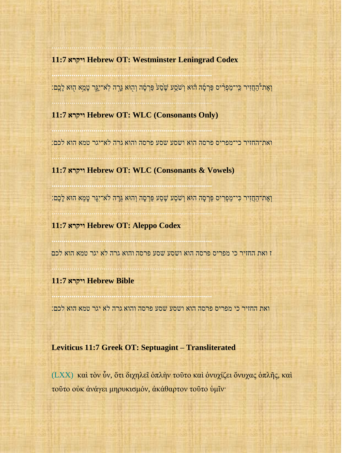#### **11:7 ויקרא Hebrew OT: Westminster Leningrad Codex**

................................................................................

**................................................................................** 

וְאֶת־הַחֲזִיר כִּי־מַפְרִיס פַּרְסָד הוֹא וְשֹׁמַע שֶׂסַע פַּרְסָד וְהָוּא גֵּרָה לְאֹ־יִגֶּר טָמֵא הָוּא לָבֶם:

**11:7 ויקרא Hebrew OT: WLC (Consonants Only)**

**................................................................................** 

................................................................................

**................................................................................** 

................................................................................

**................................................................................** 

................................................................................

**................................................................................** 

................................................................................

ואת־החזיר כי־מפריס פרסה הוא ושסע שסע פרסה והוא גרה לא־יגר טמא הוא לכם׃

**11:7 ויקרא Hebrew OT: WLC (Consonants & Vowels)**

וְאֶת־ה חֲזִיר כִי־מ פְרִ יס פ רְ ס ה הּוא וְׁש ֹׁס ע ׁשֶס ע פ רְ ס ה וְהּוא גֵּר ה לא־יִג ר ט מֵּא הּוא ל כֶם׃

**11:7 ויקרא Hebrew OT: Aleppo Codex**

ז ואת החזיר כי מפריס פרסה הוא ושסע שסע פרסה והוא גרה לא יגר טמא הוא לכם

#### **11:7 ויקרא Hebrew Bible**

ואת החזיר כי מפריס פרסה הוא ושסע שסע פרסה והוא גרה לא יגר טמא הוא לכם׃

#### **Leviticus 11:7 Greek OT: Septuagint – Transliterated**

(LXX) καὶ τὸν ὗν, ὅτι διχηλεῖ ὁπλὴν τοῦτο καὶ ὀνυχίζει ὄνυχας ὁπλῆς, καὶ τοῦτο οὐκ ἀνάγει μηρυκισμόν, ἀκάθαρτον τοῦτο ὑμῖν·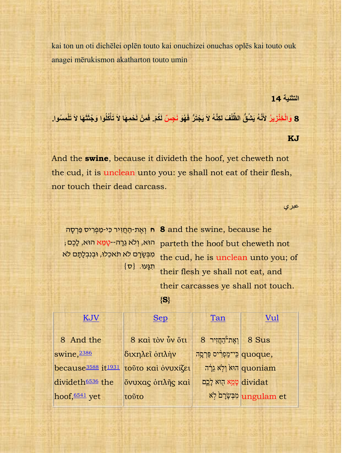kai ton un oti dichēlei oplēn touto kai onuchizei onuchas oplēs kai touto ouk anagei mērukismon akatharton touto umin

**التثني 14**

8 وَالْخِنْزِيرُ لأَنَّهُ يَشْقُ الظَّنْفَ لكِنَّهُ لاَ يَجْتَرُّ فَهُوَ نَجِسٌ لَكُمْ. فَمِنْ لَحْمِهَا لاَ تَأْكُلُوا وَجُثَثَهَا لاَ تَلْمِسُوا. **ْ**

#### **KJ**

And the **swine**, because it divideth the hoof, yet cheweth not the cud, it is unclean unto you: ye shall not eat of their flesh, nor touch their dead carcass.

عبري

הּוא, וְ ֹלא גֵּרָ ה--טָ מֵּ א הּוא, לָכֶם; מִבְּשָׂרָם לֹא תֹאכֵלוּ, וּבְנְבְלַתַם לֹא  ${0}$ תֵ

ח וְאֶת-הַחֲזִיר כִּי-מַפְּרִיס פַּרְסָה **8** and the swine, because he parteth the hoof but cheweth not the cud, he is unclean unto you; of their flesh ye shall not eat, and their carcasses ye shall not touch.

**{S}**

| KJV                                        | <b>Sep</b>              | Tan                                 | Vul                       |
|--------------------------------------------|-------------------------|-------------------------------------|---------------------------|
| 8 And the                                  | 8 και τον ύν ότι        | $8$ וְאֶת <sup>-</sup> הָחֲזִיר $8$ |                           |
| swine, 2386                                | διχηλεί οπλήν           | quoque, כִּי־מַפְרִיס פַּרְסֶה      |                           |
| because <sup>3588</sup> it <sup>1931</sup> | τούτο και ονυχίζει      | הוּא וְלָא גֵרָה quoniam            |                           |
| divideth <sup>6536</sup> the               | όνυχας <i>δπλης</i> και | dividat עֲמֵא הָוא לְכֶם            |                           |
| hoof, $6541$ yet                           | τοῦτο                   |                                     | ungulam et מִבְּשָׂרָם (א |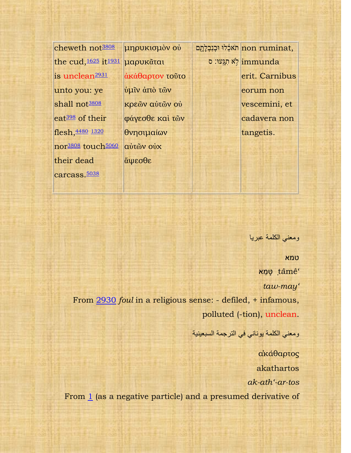cheweth not[3808](http://www.sacred-texts.com/bib/poly/h3808.htm) the cud, [1625](http://www.sacred-texts.com/bib/poly/h1625.htm) it [1931](http://www.sacred-texts.com/bib/poly/h1931.htm) μαρυκᾶται is unclean<sup>[2931](http://www.sacred-texts.com/bib/poly/h2931.htm)</sup> unto you: ye shall not<sup>[3808](http://www.sacred-texts.com/bib/poly/h3808.htm)</sup> eat[398](http://www.sacred-texts.com/bib/poly/h0398.htm) of their flesh,[4480](http://www.sacred-texts.com/bib/poly/h4480.htm) [1320](http://www.sacred-texts.com/bib/poly/h1320.htm) nor[3808](http://www.sacred-texts.com/bib/poly/h3808.htm) touch[5060](http://www.sacred-texts.com/bib/poly/h5060.htm) their dead carcass.<sup>[5038](http://www.sacred-texts.com/bib/poly/h5038.htm)</sup>

μηρυκισμὸν οὐ ἀκάθαρτον τοῦτο ὑμῖν ἀπὸ τῶν κρεῶν αὐτῶν οὐ φάγεσθε καὶ τῶν θνησιμαίων αὐτῶν οὐχ ἅψεσθε

תֹאלֵלוּ וּבְנִבְלְתֻם non ruminat, א תִגְּעוּ∷ ס<mark>i</mark>mmunda erit. Carnibus eorum non vescemini, et cadavera non tangetis.

ومعنى الكلمة عبريا

טמא מאֵ טָּ ṭâmê'

*taw-may'* 

From [2930](http://www.sacred-texts.com/bib/poly/h2930.htm) *foul* in a religious sense: - defiled, + infamous, polluted (-tion), unclean.

ومعنى الكلمة يوناني في الترجمة السبعينية

ἀκάθαρτος akathartos *ak-ath'-ar-tos*  From [1](http://www.sacred-texts.com/bib/poly/g0001.htm) (as a negative particle) and a presumed derivative of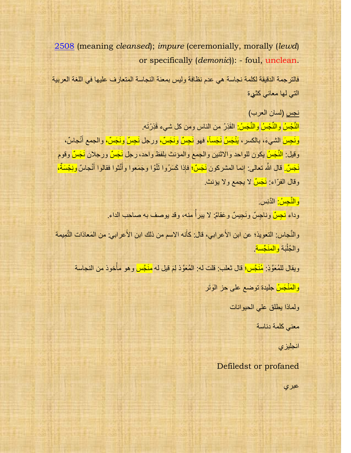[2508](http://www.sacred-texts.com/bib/poly/g2508.htm) (meaning *cleansed*); *impure* (ceremonially, morally (*lewd*) or specifically (*demonic*)): - foul, unclean.

فالترجمة الدقيقة لكلمة نجاسة هي عدم نظافة وليس بمعنة النجاسة المتعارف عليها في اللغة العربية التي لها معاني كثيرة

نجس (لسان العرب) ا<mark>لنَّجْسُ والنِّجْسُ والنَّجَسُ:</mark> القَذِرُ من الناس ومن كل شيء قَذِرْتَه. ونَجِسَ الشيءَ، بالكسر ، يَنْجَسُ نَجَساً، فهو نَجِسٌ ونَجَسٌ، ورجل <mark>نَجِسٌ ونَجَسٌ،</mark> والجمع أنْجاسٌ، َج وقيل: <mark>النَّجَسُ</mark> يكون للواحد والاثنين والجمع والمؤنث بلفظ واحد، رجل نَجَسٌّ ورجلان نَجَسٌّ وقوم نَجَ<mark>سٌ.</mark> قال اللَّه تعالى: إِنما المشركون <u>نَجَسٌّ</u>؛ فإِذا كَسَرُوا ثَنَّوْا وجَمَعوا وأَنَّثوا فقالوا أُنْجاسٌ ونِجْسَةٌ، َج َج انہ میں ا وقال الفرّاء: <u>نَجَسٌّ</u> لا يجمع ولا يؤنث.

> <mark>و النَّجِسُ:</mark> الدَّنِس. وداء <mark>نجِسٌ</mark> وناجِسٌ ونَجِيسٌ وعَقامٌ: لا يبرأ منه، وقد يوصف به صاحب الداء. المستشرع المستشرع المستشرع المستشرع المستشرع المستشرع المستشرع المستشرع المستشرع المستشرع المستشرع المستشرع ال<br>والمستشرع المستشرع المستشرع المستشرع المستشرع المستشرع المستشرع المستشرع المستشرع المستشرع المستشرع المستشرع ا

والنَّجاس: التعويذ؛ عن ابن الأَعرابي، قال: كأنه الاسم من ذلك ابن الأَعرابي: من المَعاذات التَّمِيمة والجُلْبَة <mark>والمنَجِّسة</mark>.

ويقال للمُعَوَّذِ: <mark>مُنَجَّس؛</mark> قال ثعلب: قلت له: المُعَوَّذ لِمَ قيل له <mark>منَجَّس</mark> وهو مأخوذ من النجاسة ْ

والمَنْجَسُٰ جليدة توضع على حز الوَتَر

ولماذا يطلق على الحيوانات

معنى كلمة دناسة

انجليز ي

Defiledst or profaned

عبري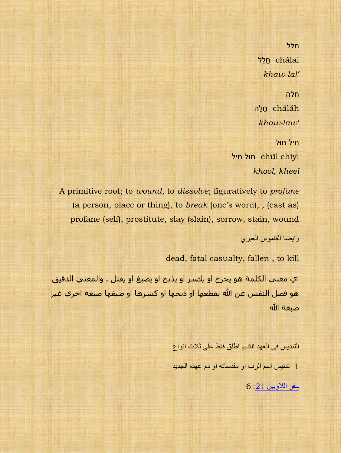חלל תֲלוּchâlal *khaw-lal'*

חלה ĥlâcha חָּלָּה *khaw-law'*

חיל חּול חוּל חִיל *khool, kheel*

A primitive root; to *wound*, to *dissolve*; figuratively to *profane* (a person, place or thing), to *break* (one's word), , (cast as) profane (self), prostitute, slay (slain), sorrow, stain, wound وايضا القاموس العبري

dead, fatal casualty, fallen , to kill

اي معني الكلمة هو يجرح او يلصر او يذبح او يصبغ او يقتل . والمعني الدقيق هو فصل النفس عن الله بقطعها او ذبحها او كسرها او صبغها صبغة اخري غير صبغة الله

> التنديس في العهد القديم اطلق فقط على ثلاث انواع 1 تدنيس اسم الرب او مقدساته او دم عهده الجديد سفر اللاويين 21: 6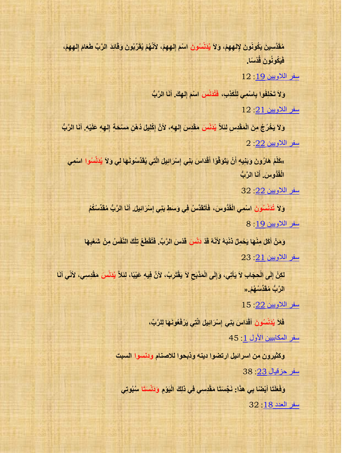مُقَدَّسِينَ يَكُونُونَ لِإلهِهِمْ، وَلاَ يُدَنَّسُونَ اسْمَ إِلهِهِمْ، لأَنَّهُمْ يُقَرِّبُونَ وَقَائِدَ الرَّبِّ طَعَامَ إِلهِهِمْ،  $\delta$ فَيَكُونُونَ قُدْسَا.

سفر اللاويين 19 :12

وَلاَ تَخْلِفُوا بِاسْمِي لِلْكَذِبِ، فَتُدَنِّسَ اسْمَ إِلـهِكَ. أنَا الرَّبُّ **َق** سفر اللاويين 21 12

وَلاَ يَخْرُجُ مِنَ الْمَقْدِسِ لِئَلاِّ يُدَنِّسَ مَقْدِسَ إِلـهِهِ، لأَنَّ إِكْلِيلَ دُهْنِ مَسْحَةٍ إِلـهِهِ عَلَيْهِ. أنَا الرَّبُّ **ِس َق**  $12:22$  سفر اللاويين

»كَلَّمْ هَارُونَ وَبَنِيهِ أَنْ يَتَوَقَّوْا أَقْدَاسَ بَنِي إِسْرَائِيلَ الَّتِي يُقَدِّسُونَـهَا لِي وَلاَ يُدَنَّسُوا اسْمِي **َق َق** <mark>الْقُدُّوسَ. أَنَا الرَّبُّ</mark> **َق**

سفر اللاويين 22: 32

وَلاَ تُدَنِّسُونَ اسْمِي الْقُدُّوسَ، فَأَتَقَدَّسُ فِي وَسَطٍ بَنِي إِسْرَائِيلَ. أَنَا الرَّبُّ مُقَدِّسُكُمُ **َق َق** سفر اللاويين 19: 8

وَمَنْ أَكَلَ مِنْهَا يَحْمِلُ ذَنْبَهُ لأَنَّهُ قَدْ دَنَّسَ قَدْسَ الرَّبِّ. فَتُقْطَعُ تِلْكَ النّفْسُ مِنْ شَعْبِهَا **َق**  $123:21$  سفر اللاويين

لكِنْ إِلَى الْحِجَابِ لاَ يَأْتِي، وَإِلَى الْمَذْبَحِ لاَ يَقْتَرِبُ، لأَنَّ فِيهِ عَيْبًا، لِنَلاّ يُدَنَّسَ مَقْدِسِي، لأنِّي أَنَا **ْم َق** الرَّبُّ مُقَدِّس*ُهُمْ.*«

 $15$   $:22$  سفر اللاويين

فَلاَ يُدَنِّسُونَ أَقْدَاسَ بَنِي إِسْرَائِيلَ الَّتِي يَرْفَعُونَهَا لِلرَّبِّ، سفر المكابيين الأول 1 : 45

وكثيرون من اسرائيل ارتضوا دينه وذبحوا للاصنام ودنسوا السبت منفر حزقيال 23 38

وَفَعَلَتَا أَيْصْنَا بِي هذَا: نَجَّسَتَا مَقْدِسِي فِي ذٰلِكَ الْيَوْمِ وَدَنْسَتَا سُبُوتِي **َق** [عفش اٌعذد :](http://st-takla.org/Bibles/BibleSearch/showChapter.php?book=4&chapter=18&q=%D8%AF%D9%86%D8%B3)18 32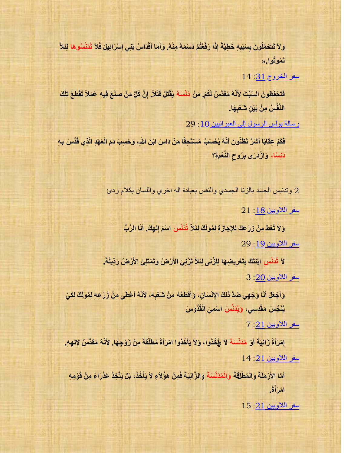وَلاَ تَتَعَمَّلُونَ بِسَبَبِهِ خَطِيَّةَ إِذَا رَفَعْتُمْ دَسَمَهُ مِنْهُ. وَأَمَّا أَقْدَاسُ بَنِي إِسْرَائِيلَ فَلاَ تُدَنَّسُوهَا لِئَلاَّ **َق َق تَق .« ُموْتُمْا**

 $14:31$  سفر الخروج

فَتَحْفَظُونَ السَّبْتَ لأَنّهُ مُقَدَّسٌ لَكُمْ. مَنْ دَنّسَهُ يُقْتَلُ قَتْلاً. إِنَّ كُلّ مَنْ صَنَعَ فِيهِ عَمَلاً تُقْطَعُ تِلْكَ **ِس َقِ ِسي َقش ْمع الٌَّد ْمف . ُمض ِسه ْمي َق ْم٘**

رسالة بولس الرسول إلى العبر انيين 10: 29

فَكَمْ عِقَابًا أَشْرَّ تَظْنُونَ أَنَّهُ يُحْسَبُ مُسْتَحِقًا مَنْ دَاسَ ابْنَ اللهِ، وَحَسِبَ دَمَ الْعَهْدِ الّذِي قَدِّسَ بِهِ **َق َق ً**  $\epsilon$ نَسِنًا، وَالْ<sub>ـ</sub>ُدَرَى بِرُوحِ النَّعْمَةِ؟

وتدنيس الجسد بالزنا الجسدي والنفس بعبادة اله اخرى واللسان بكلام ردئ

سفر اللاويين 18 21

وَلاَ تُعْطِ مِنْ زَرْعِكَ لِلإِجَازَةِ لِمُولَكَ لِنَلاَّ تُدَنِّسَ اسْمَ إِلـهِكَ. أَنَا الرَّبُّ **َق** سفر اللاوبين 19 29

لاَ تُدَنِّسِ ابْنَتَكَ بِتَعْرِيضِهَا لِلزِّنَى لِئَلاَّ تَزْنِيَ الأَرْضُ وَتَمْتَلِئَ الأَرْضُ رَذِيلَةً. سفر اللاويي<u>ن 20</u>: 3

وَأَجْعَلُ أَنَا وَجْهِي ضِدَّ ذَلِكَ الإِنْسَانِ، وَأَقْطَعُهُ مِنْ شَعْبِهِ، لأَنّهُ أَعْطَى مِنْ زَرْعِهِ لِمُولَكَ لِكَيْ **َق َق َق َق** يُّنَّجِّسَ مَقْدِسِي، وَيُدَنَّسَ اسْمِيَ الْقُذُوسَ

 $7$   $\cdot 21$  سفر اللاويين

إِمْرَأَةً زَانِيَةً أَوْ مُنَتَّسَةً لاَ طَخُذُوا، وَلاَ يَأْخُذُوا امْرَأَةً مُطَلَّقَةً مِنْ زَوْجِهَا. لأَنَّهُ مُقَدَّسٌ لِإلهِهِ. **َق َق َق ْم ْم**  $14:21$  سفر اللاويين

أَمَّا الأَرْمَلَةَ وَالْمُطْلَقَةَ وَالْمُدَنَّسَةَ وَالزَّانِيَةَ فَمِنْ هؤُلاَءِ لاَ يَأْخُذُ، بَلْ يَتَّخِذْ عَذْرَاءَ مِنْ قَوْمِهِ **َق ْم ةً ا . ْمه َقز َق**

 $15.21$  سفر اللاويين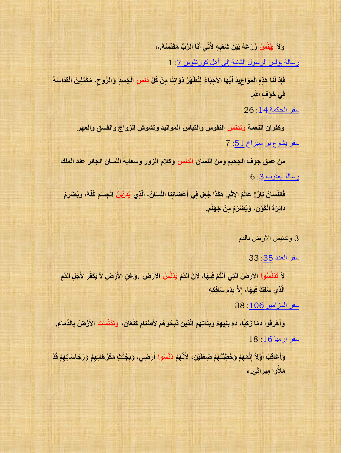وَلاَ ۖ فِيُنْسُ زَرْعَهُ بَيْنَ شَعْبِهِ ۖ لأَنِّي أَنَا الرَّبُّ مُقَدِّسُهُ ,« **ِس َق**

رسالة بولس الرسول الثانية إلى أهل كورنثوس 7: 1

فَإِذْ لَنَا هَذِهِ الْمَوَاعِيدُ أَيُّهَا الأَحِبَّاءُ لِنُطَهِّرْ ذَوَاتِنَا مِنْ كُلِّ دَنَسِ الْجَسَدِ وَالرُّوحِ، مُكَمِّلِينَ الْقَدَاسَةَ **َق فِسٖ َق . ْمْ ِس ِس**

 $26$   $14$  على الحكمة

وكفران النعمة وتدنس النفوس والتباس المواليد وتشوش الزواج والفسق والعهر سفر يشوع بن سيراخ 51 : 7

هن عمق جوف الجحيم ومن اللسان الدنس وكلام الزور وسعاية اللسان الجائر عند الملك رسالة يعقوب 3: 6

فَاللِّسَانُ نَارٌ ! عَالَمُ الإِثْمِ. هكَذَا جُعِلَ فِي أَعْصَائِنَا اللِّسَانُ، الَّذِي يُدَنِّيْ الْجِسْمَ كُلَّهُ، وَيُصْرِمُ **َق** دَائِرَةَ الْكَوْنِ، وَيُصْرَمُ مِنْ جَهَنَّمَ.

3 وتدنيس الارض بالدم

 $33$  35 منفر العدد

لاَ تُدَنِّسُوا الأَرْضَ الَّتِي أَنْتُمْ فِيهَا، لأَنَّ الدَّمَ يُدَنِّسُ الأَرْضَ .وَعَنِ الأَرْضِ لاَ يُكَفّرُ لأجْلِ الدَّمِ **َق** الَّذِي سُفِكَ فِيهَا، إِلاَّ بِدَمِ سَافِكِهِ **ِس**

 $38.106$  سفر المزامير

وَأَهْرَقُوا دَمَا زَكِيًّا، دَمَ بَنِيهِمْ وَبَنَاتِهِمِ الَّذِينَ ذَبَحُو هُمْ لأَصْنَامِ كَنْعَانَ، وَتَذَنَّسَتِ الأَرْضُ بِالدِّمَاءِ. **َق**  $18$  16 الله السفر إرميا

وَأَعَاقِبُ أَوَّلاً إِثْمَهُمْ وَخَطِيَّتَهُمْ صَعْفَيْنِ، لأَنَّهُمْ دَنْسُوا أَرْضِي، وَبِجُثَثٍ مَكْرُ هَاتِهِمْ وَرَجَاسَاتِهِمْ قَدْ **َق ُم َق َقهألُمّا ِسه٘ َقزا ِس.ٖ«**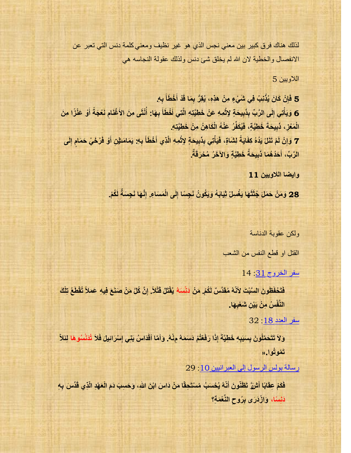لذلك هناك فرق كبير بين معنى نجس الذي هو غير نظيف ومعنى كلمة دنس التي تعبر عن الانفصال والخطية لان الله لم يخلق شيئ دنس ولذلك عقولة النجاسه هي

اللاوسن 5

5 فَإِنْ كَانَ يُذْنِبُ فِي شَيْءٍ مِنْ هذِهِ، يُقِرُّ بِمَا قَدْ أَخْطَأَ بِهِ. **ِ** *<u>*</u> **َ َ ِ ِ** 6 وَيَأْتِي إِلَى الرَّبِّ بِذَبِيحَةٍ لِإِثْمِهِ عَنْ خَطِيَّتِهِ الَّتِي أَخْطَأَ بِهَا: أُنْثَى مِنَ الأَغْنَام نَعْجَةً أَوْ عَنْزًا مِنَ **َ ِ ُ ِ َ َ ْ ِ َ ِ ِ ْ** الْمَعْزِ، ذَبِيحَةَ خَطِيَّةٍ، فَيُكَفِّرُ عَنْهُ الْكَاهِنُ مِنْ خَطِيَّتِهِ. **ِ** 7 وَإِنْ لَمْ تَنَلْ يَدُهُ كِفَايَةً لِشَاةٍ، فَيَأْتِي بِذَبِيحَةٍ لِإثْمِهِ الَّذِي أَخْطَأَ بِهِ: يَمَامَنيْنِ أَق فَرْخَىْ حَمَامٍ إِلَى **ِ ٍء َ ِ َ َ ْ ِ َ ِ ْ ً ِ َخ ِ َّي ٍء َواا َخ ُر ُم ْح َرقَ ٌس ي َح ُ ب َحُد ُه َما ذَ ال َّر ِّ ، . ِ َ**

**وايضا الالويين 11**

28 وَمَنْ حَمَلَ جُثَثَهَا يَغْسِلُ ثِيَابَهُ وَيَكُونُ نَجِسًا إِلَى الْمَسَاءِ. إِنَّهَا نَجِسَةً لَكُمْ. **ِ ِ**

ولكن عقوبة الدناسة

القتل او قطع النفس من الشعب

 $14:31$  سفر الخروج

فَتَحْفَظُونَ السَّبْتَ لأَنّهُ مُقَدَّسٌ لَكُمْ. مَنْ دَنّسَهُ يُقْتَلُ قَتْلاً. إِنَّ كُلّ مَنْ صَنَعَ فِيهِ عَمَلاً تُقْطَعُ تِلْكَ النَّفْسُ مِنْ بَيْنِ شَعْبِهَا.

[عفش اٌعذد :](http://st-takla.org/Bibles/BibleSearch/showChapter.php?book=4&chapter=18&q=%D8%AF%D9%86%D8%B3)18 32

وَلاَ تَتَحَمَّلُونَ بِسَبَبِهِ خَطِيَّةً إِذَا رَفَعْتُمْ دَسَمَهُ مِنْهُ. وَأَمَّا أَقْدَاسُ بَنِي إِسْرَائِيلَ فَلاَ تُدَنَّسُوهَا لِئَلاَّ **َق َق تَمُوتُو!.«** 

رسالة بولس الرسول إلى العبر انيين 10 : 29

فَكَمْ عِقَابًا أَشْنَّ تَظْنُونَ أَنَّهُ يُحْسَبُ مُسْتَحِقًا مَنْ دَاسَ ابْنَ اللهِ، وَحَسِبَ دَمَ الْعَهْدِ الّذِي قَدِّسَ بِهِ **َق َق ً**  $\epsilon$ دَيْسَا، وَازْدَرَى بِرُوحِ النَّعْمَةِ؟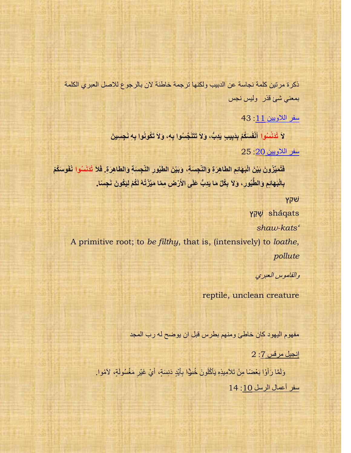ذكرة مرتين كلمة نجاسة عن الدبيب ولكنها ترجمة خاطئة لان بالرجوع للاصل العبري الكلمة بمعنى شئ قذر وليس نجس

سفر اللاويين 11: 43

لاَ تُدَنَّسُوا أَنْفُسَكُمْ بِدَبِيبٍ يَدِبُّ، وَلاَ تَتَنَجَّسُوا بِهِ، وَلاَ تَكُونُوا بِهِ نَجِسِينَ **ِس َق** سفر اللاويين 20 25

فَتُمَيِّزُونَ بَيْنَ الْبَهَائِمِ الطَّاهِرَةِ وَالنَّجِسَةِ، وَبَيْنَ الطَّيُورِ النَّجِسَةِ وَالطَّاهِرَةِ. فَلاَ تُدَنَّسُوا نُفُوسَكُمْ **َق** بِالْبَهَائِمِ وَالطَّيُورِ، وَلاَ بِكُلِّ مَا يَدِبُّ عَلَى الأَرْضِ مِمَّا مَيَّزْتُهُ لَكُمْ لِيَكُونَ نَجِسًا. **ِس**

ׁשקץ

qatŝsha ָּׁש ַקץ

*shaw-kats'* 

A primitive root; to *be filthy*, that is, (intensively) to *loathe*, *pollute*

والقاموس العبري

reptile, unclean creature

مفهوم اليهود كان خاطئ ومنهم بطرس قبل ان يوضح له رب المجد

 $2:7$  إنجيل مر قس

وَلَمَّا رَأَوْا بَعْضًا مِنْ تَلأَمِيذِهِ يَأْكُلُونَ خُنوًّا بِأَيْدٍ دَنِسَةٍ، أَيْ غَيْرِ مَغْسُولَةٍ، لأمُوا. <u>ا</u><br>أ َو َو ِم سفر أعمال الرسل 10: 14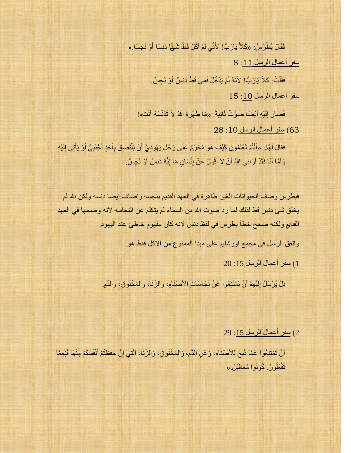فَقَالَ بُطْرُسُ: «كَلاَّ يَارَبُّ! لأَنِّي لَمْ آكُلْ قَطْ شَيْئًا دَنِسًا أَوْ نَجِسًا. « َو سفر أعمال الرسل 11: 8

> فَقُلْتُ: كَلاَّ يَارَبُّ! لأَنَّهُ لَمْ يَدْخُلْ فَمِي قَطِّ دَنِسٌ أَوْ نَجِسٌ. ْو َو

> > سفر أعمال الرسل 10: 15

فَصَارَ إِلَيْهِ أَيْضَا صَوْتٌ ثَانِيَةً: «مَا طَهَّرَهُ اللهُ لاَ تُدَنِّسْهُ أَنْتَ«! َو ٌَو ِم

63) سفر أعمال الرسل 10: 28

فَقَالَ لَهُمْ: «أَنْتُمْ تَعْلَمُونَ كَيْفَ هُوَ مُحَرَّمٌ عَلَى رَجُل يَهُودِيٍّ أَنْ يَلْتَصِقَ بِأَحَدٍ أَجْنَبِيٍّ أَوْ يَأْتِيَ إِلَيْهِ. َو اُ َو َو َو ِم ا<br>ا َو ٌَو ِم وَأَمَّا أَنَا فَقَدْ أَرَانِي اللهُ أَنْ لاَ أَقُولَ عَنْ إِنْسَانٍ مَا إِنَّهُ دَنِسٌ أَوْ نَجِسٌ. َو َو ِمْٔو َو َو َو

فبطرس وصف الحيوانات الغير طاهرة في العهد القديم بنجسه واضاف ايضا دنسه ولكن الله لم يخلق شيئ دنس قط لذلك لما رد صوت الله من السماء لم يتكلم عن النجاسه لانه وضحها في العهد القديم ولكنه صحح خطأ بطرس في لفظ دنس لانه كان مفهوم خاطئ عند اليهود.

واتفق الرسل في مجمع اورشليم على مبدا الممنوع من الاكل فقط هو

1) سفر أعمال الرسل 15: 20

بَلْ يُرْسَلْ إِلَيْهِمْ أَنْ يَمْتَنِعُوا عَنْ نَجَاسَاتِ الأَصْنَامِ، وَالزِّنَا، وَالْمَخْنُوقِ، وَالذَّمِ. َو ٌَو ِم ٔ ا

29) سفر أعمال الرسل 15: 29

أَنْ تَمْتَنِعُوا عَمَّا ذُبحَ لِلأَصْنَامِ، وَعَنِ الدَّمِ، وَالْمَخْنُوقِ، وَالزِّنَا، الَّتِي إِنْ حَفِظْتُمْ أَنْفُسَكُمْ مِنْهَا فَنِعِمَّا ْو ِم َّم َو تَفْعَلُونَ<sub>.</sub> كُونُوا مُعَافَيْنَ<sub>.«</sub> ْو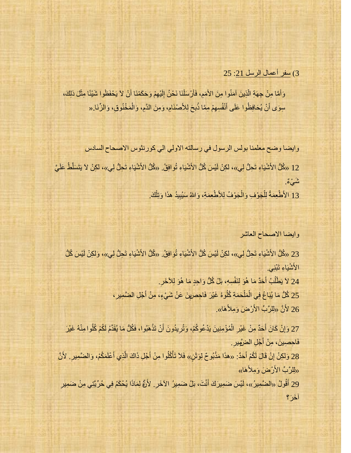## 3) سفر أعمال الرسل 21: 25

وَأَمَّا مِنْ جِهَةِ الَّذِينَ آمَنُوا مِنَ الأُمَمِ، فَأَرْسَلْنَا نَحْنُ إِلَيْهِمْ وَحَكَمْنَا أَنْ لاَ يَحْفَظُوا شَيْئًا مِثْلَ ذلِكَ، َّم َو َو ٌَو ِم ٔ ا سِوَى أَنْ يُحَافِظُوا عَلَى أَنْفُسِهِمْ مِمَّا ذُبحَ لِلأَصْنَامِ، وَمِنَ الدَّمِ، وَالْمَخْنُوقِ، وَالزِّنَا.« َو **ٔ** 

وايضا وضح معلِّمنا بولس الرسول في رسالته الأولى الى كورنثوس الأصحاح السادس

12 «كُلُّ الأَشْيَاءِ تَحِلُّ لِي»، لكِنْ لَيْسَ كُلُّ الأَشْيَاءِ تُوافِقُ<sub>ُ.</sub> «كُلُّ الأَشْيَاءِ تَحِلُّ لِي»، لكِنْ لاَ يَتَسَلَّطُ عَلَيَّ ة م<sup>َ</sup>وْ بِمُّ

13 الأطْعِمَةُ لِلْجَوْفِ وَالْجَوْفُ لِلأَطْعِمَةِ، وَاللهُ سَنُبِيدُ هذَا وَتِلْكَ. ْو ِم ْو ْو **ا** 

#### وايضا الاصحاح العاشر

23 «كُلُّ الأَشْيَاءِ تَحِلُّ لِي»، لكِنْ لَيْسَ كُلُّ الأَشْيَاءِ تُوَافِقُ<sub>.</sub> «كُلُّ الأَشْيَاءِ تَحِلُّ لِي»، وَلكِنْ لَيْسَ كُلُّ الأَشْبَاءِ تَنْنِي 24 لاَ يَطْلُبْ أَحَدٌ مَا هُوَ لِنَفْسِهِ، بَلْ كُلُّ وَاحِدٍ مَا هُوَ لِلآَخَرِ. ْو َو ُك 25 كُلُّ مَا يُبَاعُ فِي الْمَلْحَمَةِ كُلُوهُ غَيْرَ فَاحِصرِهِنَ عَنْ شَيْءٍ، مِنْ أَجْلِ الضَّمِيرِ ، ْو ْو َو 26 لأَنَّ «لِلرَّبِّ الأَرْضَ وَمِلأَهَا».

27 وَإِنْ كَانَ أَحَدٌ مِنْ غَيْرِ الْمُؤْمِنِينَ يَدْعُوكُمْ، وَتُرِيدُونَ أَنْ تَذْهَبُوا، فَكُلُّ مَا يُقَدَّمُ لَكُمْ كُلُوا مِنْهُ غَيْرَ ْو َو ْو َو ِم فَاحِصِينَ، مِنْ أَجْلِ الضَّهِيرِ ِ َو

28 وَلكِنْ إِنْ قَالَ لَكُمْ أَحَدٌ: «هذَا مَذْبُوحٌ لِوَثَنٍ» فَلاَ تَأْكُلُوا مِنْ أَجْلِ ذَاكَ الَّذِي أَعْلَمَكُمْ، وَالضَّمِيرِ. لأَنَّ َو َّم َو َو ِم «لِلرَّبِّ الأَرْضَ وَمِلأَهَا»

29 أَقُولُ «الضَّمِيرُ»، لَيْسَ ضَمِيرَكَ أَنْتَ، بَلْ ضَمِيرُ الآخَرِ. لأَنَّ لِمَاذَا يُحْكَمُ فِي حُرِّيَّتِي مِنْ ضَمِيرِ َو َو َوش؟